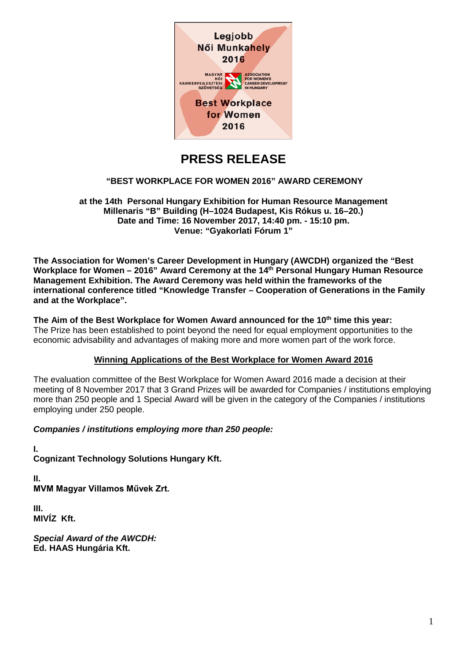

# **PRESS RELEASE**

# **"BEST WORKPLACE FOR WOMEN 2016" AWARD CEREMONY**

**at the 14th Personal Hungary Exhibition for Human Resource Management Millenaris "B" Building (H–1024 Budapest, Kis Rókus u. 16–20.) Date and Time: 16 November 2017, 14:40 pm. - 15:10 pm. Venue: "Gyakorlati Fórum 1"**

**The Association for Women's Career Development in Hungary (AWCDH) organized the "Best Workplace for Women – 2016" Award Ceremony at the 14th Personal Hungary Human Resource Management Exhibition. The Award Ceremony was held within the frameworks of the international conference titled "Knowledge Transfer – Cooperation of Generations in the Family and at the Workplace".**

**The Aim of the Best Workplace for Women Award announced for the 10th time this year:** The Prize has been established to point beyond the need for equal employment opportunities to the economic advisability and advantages of making more and more women part of the work force.

# **Winning Applications of the Best Workplace for Women Award 2016**

The evaluation committee of the Best Workplace for Women Award 2016 made a decision at their meeting of 8 November 2017 that 3 Grand Prizes will be awarded for Companies / institutions employing more than 250 people and 1 Special Award will be given in the category of the Companies / institutions employing under 250 people.

*Companies / institutions employing more than 250 people:*

**I. Cognizant Technology Solutions Hungary Kft.**

**II. MVM Magyar Villamos Művek Zrt.**

**III. MIVÍZ Kft.**

*Special Award of the AWCDH:* **Ed. HAAS Hungária Kft.**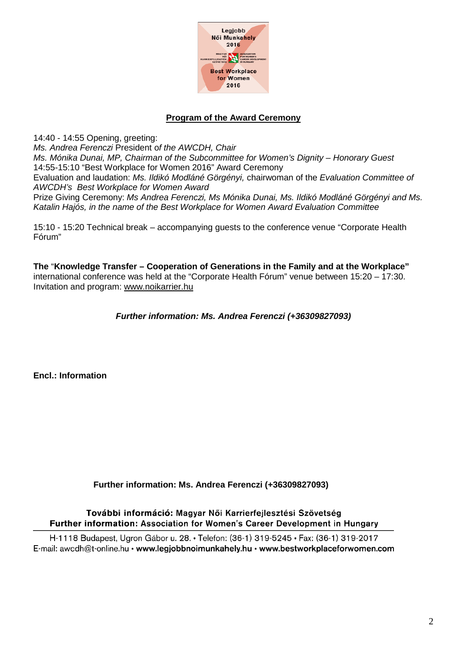

# **Program of the Award Ceremony**

14:40 - 14:55 Opening, greeting: *Ms. Andrea Ferenczi* President o*f the AWCDH, Chair Ms. Mónika Dunai, MP, Chairman of the Subcommittee for Women's Dignity – Honorary Guest*  14:55-15:10 "Best Workplace for Women 2016" Award Ceremony Evaluation and laudation: *Ms. Ildikó Modláné Görgényi,* chairwoman of the *Evaluation Committee of AWCDH's Best Workplace for Women Award*  Prize Giving Ceremony: *Ms Andrea Ferenczi, Ms Mónika Dunai, Ms. Ildikó Modláné Görgényi and Ms. Katalin Hajós, in the name of the Best Workplace for Women Award Evaluation Committee*

15:10 - 15:20 Technical break – accompanying guests to the conference venue "Corporate Health Fórum"

**The** "**Knowledge Transfer – Cooperation of Generations in the Family and at the Workplace"**  international conference was held at the "Corporate Health Fórum" venue between 15:20 – 17:30. Invitation and program: [www.noikarrier.hu](http://www.noikarrier.hu/)

# *Further information: Ms. Andrea Ferenczi (+36309827093)*

**Encl.: Information**

# **Further information: Ms. Andrea Ferenczi (+36309827093)**

További információ: Magyar Női Karrierfejlesztési Szövetség Further information: Association for Women's Career Development in Hungary

H-1118 Budapest, Ugron Gábor u. 28. • Telefon: (36-1) 319-5245 • Fax: (36-1) 319-2017 E-mail: awcdh@t-online.hu · www.legjobbnoimunkahely.hu · www.bestworkplaceforwomen.com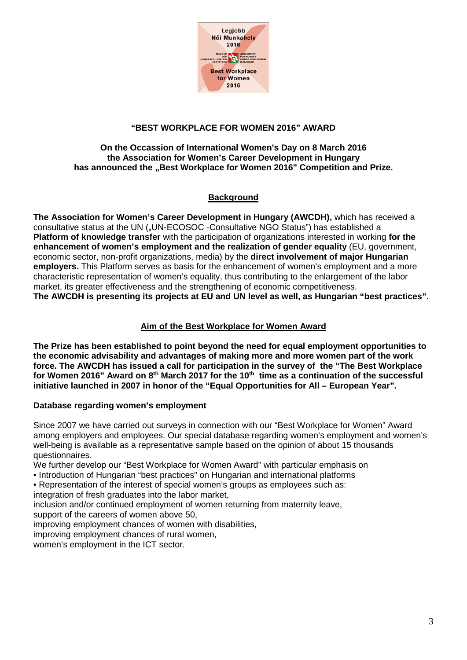

# **"BEST WORKPLACE FOR WOMEN 2016" AWARD**

### **On the Occassion of International Women's Day on 8 March 2016 the Association for Women's Career Development in Hungary** has announced the "Best Workplace for Women 2016" Competition and Prize.

# **Background**

**The Association for Women's Career Development in Hungary (AWCDH),** which has received a consultative status at the UN ("UN-ECOSOC -Consultative NGO Status") has established a **Platform of knowledge transfer** with the participation of organizations interested in working **for the enhancement of women's employment and the realization of gender equality** (EU, government, economic sector, non-profit organizations, media) by the **direct involvement of major Hungarian employers.** This Platform serves as basis for the enhancement of women's employment and a more characteristic representation of women's equality, thus contributing to the enlargement of the labor market, its greater effectiveness and the strengthening of economic competitiveness. **The AWCDH is presenting its projects at EU and UN level as well, as Hungarian "best practices".**

# **Aim of the Best Workplace for Women Award**

**The Prize has been established to point beyond the need for equal employment opportunities to the economic advisability and advantages of making more and more women part of the work force. The AWCDH has issued a call for participation in the survey of the "The Best Workplace for Women 2016" Award on 8th March 2017 for the 10th time as a continuation of the successful initiative launched in 2007 in honor of the "Equal Opportunities for All – European Year".** 

# **Database regarding women's employment**

Since 2007 we have carried out surveys in connection with our "Best Workplace for Women" Award among employers and employees. Our special database regarding women's employment and women's well-being is available as a representative sample based on the opinion of about 15 thousands questionnaires.

- We further develop our "Best Workplace for Women Award" with particular emphasis on
- Introduction of Hungarian "best practices" on Hungarian and international platforms
- Representation of the interest of special women's groups as employees such as:
- integration of fresh graduates into the labor market,
- inclusion and/or continued employment of women returning from maternity leave,
- support of the careers of women above 50,
- improving employment chances of women with disabilities,
- improving employment chances of rural women,
- women's employment in the ICT sector.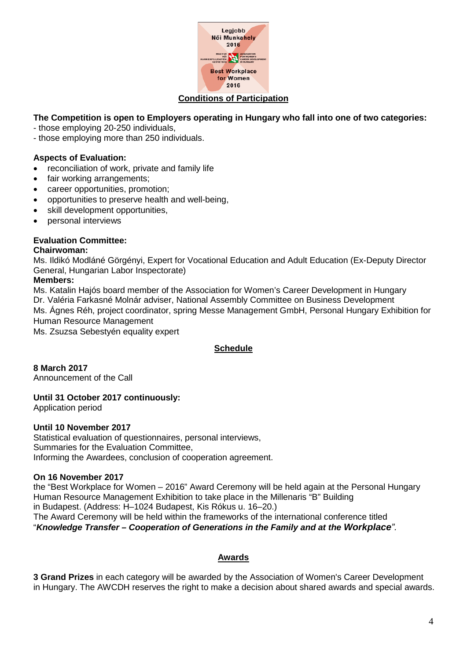

# **The Competition is open to Employers operating in Hungary who fall into one of two categories:**

- those employing 20-250 individuals,
- those employing more than 250 individuals.

### **Aspects of Evaluation:**

- reconciliation of work, private and family life
- fair working arrangements;
- career opportunities, promotion;
- opportunities to preserve health and well-being,
- skill development opportunities,
- personal interviews

### **Evaluation Committee:**

#### **Chairwoman:**

Ms. Ildikó Modláné Görgényi, Expert for Vocational Education and Adult Education (Ex-Deputy Director General, Hungarian Labor Inspectorate)

#### **Members:**

Ms. Katalin Hajós board member of the Association for Women's Career Development in Hungary Dr. Valéria Farkasné Molnár adviser, National Assembly Committee on Business Development Ms. Ágnes Réh, project coordinator, spring Messe Management GmbH, Personal Hungary Exhibition for Human Resource Management Ms. Zsuzsa Sebestyén equality expert

### **Schedule**

**8 March 2017** Announcement of the Call

### **Until 31 October 2017 continuously:**

Application period

#### **Until 10 November 2017**

Statistical evaluation of questionnaires, personal interviews, Summaries for the Evaluation Committee, Informing the Awardees, conclusion of cooperation agreement.

#### **On 16 November 2017**

the "Best Workplace for Women – 2016" Award Ceremony will be held again at the Personal Hungary Human Resource Management Exhibition to take place in the Millenaris "B" Building in Budapest. (Address: H–1024 Budapest, Kis Rókus u. 16–20.) The Award Ceremony will be held within the frameworks of the international conference titled "*Knowledge Transfer – Cooperation of Generations in the Family and at the Workplace".*

### **Awards**

**3 Grand Prizes** in each category will be awarded by the Association of Women's Career Development in Hungary. The AWCDH reserves the right to make a decision about shared awards and special awards.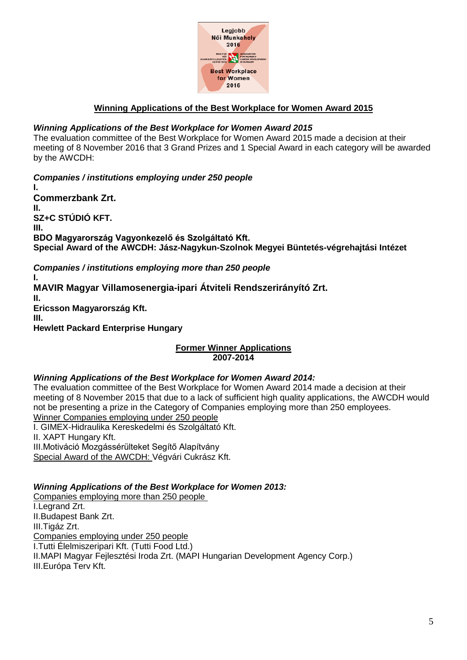

### **Winning Applications of the Best Workplace for Women Award 2015**

### *Winning Applications of the Best Workplace for Women Award 2015*

The evaluation committee of the Best Workplace for Women Award 2015 made a decision at their meeting of 8 November 2016 that 3 Grand Prizes and 1 Special Award in each category will be awarded by the AWCDH:

*Companies / institutions employing under 250 people* **I. Commerzbank Zrt. II. SZ+C STÚDIÓ KFT. III. BDO Magyarország Vagyonkezelő és Szolgáltató Kft. Special Award of the AWCDH: Jász-Nagykun-Szolnok Megyei Büntetés-végrehajtási Intézet** *Companies / institutions employing more than 250 people*

**I. MAVIR Magyar Villamosenergia-ipari Átviteli Rendszerirányító Zrt. II. Ericsson Magyarország Kft. III. Hewlett Packard Enterprise Hungary**

### **Former Winner Applications 2007-2014**

### *Winning Applications of the Best Workplace for Women Award 2014:*

The evaluation committee of the Best Workplace for Women Award 2014 made a decision at their meeting of 8 November 2015 that due to a lack of sufficient high quality applications, the AWCDH would not be presenting a prize in the Category of Companies employing more than 250 employees. Winner Companies employing under 250 people

I. GIMEX-Hidraulika Kereskedelmi és Szolgáltató Kft. II. XAPT Hungary Kft. III.Motiváció Mozgássérülteket Segítő Alapítvány Special Award of the AWCDH: Végvári Cukrász Kft.

### *Winning Applications of the Best Workplace for Women 2013:*

Companies employing more than 250 people I.Legrand Zrt. II.Budapest Bank Zrt. III.Tigáz Zrt. Companies employing under 250 people I.Tutti Élelmiszeripari Kft. (Tutti Food Ltd.) II.MAPI Magyar Fejlesztési Iroda Zrt. (MAPI Hungarian Development Agency Corp.) III.Európa Terv Kft.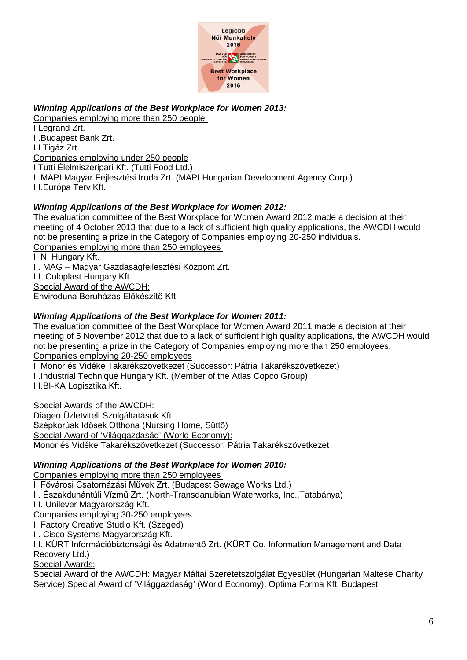

# *Winning Applications of the Best Workplace for Women 2013:*

Companies employing more than 250 people

I.Legrand Zrt. II.Budapest Bank Zrt. III.Tigáz Zrt. Companies employing under 250 people I.Tutti Élelmiszeripari Kft. (Tutti Food Ltd.) II.MAPI Magyar Fejlesztési Iroda Zrt. (MAPI Hungarian Development Agency Corp.) III.Európa Terv Kft.

# *Winning Applications of the Best Workplace for Women 2012:*

The evaluation committee of the Best Workplace for Women Award 2012 made a decision at their meeting of 4 October 2013 that due to a lack of sufficient high quality applications, the AWCDH would not be presenting a prize in the Category of Companies employing 20-250 individuals. Companies employing more than 250 employees

I. NI Hungary Kft.

II. MAG – Magyar Gazdaságfejlesztési Központ Zrt.

III. Coloplast Hungary Kft.

Special Award of the AWCDH:

Enviroduna Beruházás Előkészítő Kft.

# *Winning Applications of the Best Workplace for Women 2011:*

The evaluation committee of the Best Workplace for Women Award 2011 made a decision at their meeting of 5 November 2012 that due to a lack of sufficient high quality applications, the AWCDH would not be presenting a prize in the Category of Companies employing more than 250 employees. Companies employing 20-250 employees

I. Monor és Vidéke Takarékszövetkezet (Successor: Pátria Takarékszövetkezet) II.Industrial Technique Hungary Kft. (Member of the Atlas Copco Group) III.BI-KA Logisztika Kft.

Special Awards of the AWCDH:

Diageo Üzletviteli Szolgáltatások Kft. Szépkorúak Idősek Otthona (Nursing Home, Süttõ)

Special Award of 'Világgazdaság' (World Economy):

Monor és Vidéke Takarékszövetkezet (Successor: Pátria Takarékszövetkezet

# *Winning Applications of the Best Workplace for Women 2010:*

Companies employing more than 250 employees

I. Fővárosi Csatornázási Művek Zrt. (Budapest Sewage Works Ltd.)

II. Északdunántúli Vízmű Zrt. (North-Transdanubian Waterworks, Inc.,Tatabánya)

III. Unilever Magyarország Kft.

Companies employing 30-250 employees

I. Factory Creative Studio Kft. (Szeged)

II. Cisco Systems Magyarország Kft.

III. KÜRT Információbiztonsági és Adatmentő Zrt. (KÜRT Co. Information Management and Data Recovery Ltd.)

Special Awards:

Special Award of the AWCDH: Magyar Máltai Szeretetszolgálat Egyesület (Hungarian Maltese Charity Service),Special Award of 'Világgazdaság' (World Economy): Optima Forma Kft. Budapest